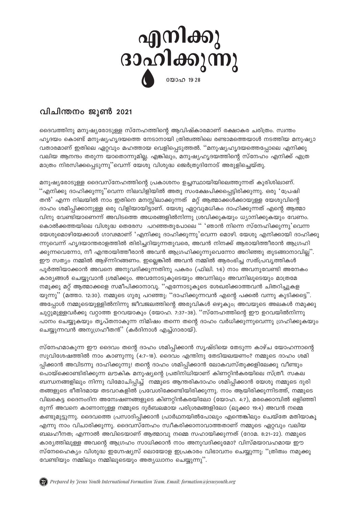

## വിചിന്തനം ജൂൺ 2021

ദൈവത്തിനു മനുഷ്യരോടുള്ള സ്നേഹത്തിന്റെ ആവിഷ്കാരമാണ് രക്ഷാകര ചരിത്രം. സ്വന്തം ഹൃദയം കൊണ്ട് മനുഷ്യഹൃദയത്തെ നേടാനായി ത്രിത്വത്തിലെ രണ്ടാമത്തെയാൾ നടത്തിയ മനുഷ്യാ വതാരമാണ് ഇതിലെ ഏറ്റവും മഹത്തായ വെളിപ്പെടുത്തൽ. ''മനുഷ്യഹൃദയത്തെപ്പോലെ എനിക്കു വലിയ ആനന്ദം തരുന്ന യാതൊന്നുമില്ല. എങ്കിലും, മനുഷ്യഹ്യദയത്തിന്റെ സ്നേഹം എനിക്ക് എത്ര മാത്രം നിരസിക്കപ്പെടുന്നു"വെന്ന് യേശു വിശുദ്ധ ജെർത്രൂദിനോട് അരുളിച്ചെയ്തു.

മനുഷ്യരോടുള്ള ദൈവസ്നേഹത്തിന്റെ പ്രകാശനം ഉച്ചസ്ഥായിയിലെത്തുന്നത് കുരിശിലാണ്. ''എനിക്കു ദാഹിക്കുന്നു''വെന്ന നിലവിളിയിൽ അതു സംക്ഷേപിക്കപ്പെട്ടിരിക്കുന്നു. ഒരു 'പ്രേഷി തൻ' എന്ന നിലയിൽ നാം ഇതിനെ മനസ്സിലാക്കുന്നത് മറ്റ് ആത്മാക്കൾക്കായുള്ള യേശുവിന്റെ ദാഹം ശമിപ്പിക്കാനുള്ള ഒരു വിളിയായിട്ടാണ്. യേശു ഏറ്റവുമധികം ദാഹിക്കുന്നത് എന്റെ ആത്മാ വിനു വേണ്ടിയാണെന്ന് അവിടത്തെ അധരങ്ങളിൽനിന്നു ശ്രവിക്കുകയും ധ്യാനിക്കുകയും വേണം. കൊൽക്കത്തയിലെ വിശുദ്ധ തെരേസ പറഞ്ഞതുപോലെ '' 'ഞാൻ നിന്നെ സ്നേഹിക്കുന്നു'വെന്ന യേശുമൊഴിയേക്കാൾ ഗാഢമാണ് 'എനിക്കു ദാഹിക്കുന്നു'വെന്ന മൊഴി. യേശു എനിക്കായി ദാഹിക്കു ന്നുവെന്ന് ഹൃദയാന്തരാളത്തിൽ തിരിച്ചറിയുന്നതുവരെ, അവൻ നിനക്ക് ആരായിത്തീരാൻ ആഗ്രഹി ക്കുന്നവെന്നോ, നീ എന്തായിത്തീരാൻ അവൻ ആഗ്രഹിക്കുന്നുവെന്നോ അറിഞ്ഞു തുടങ്ങാനാവില്ല്'. ഈ സത്യം നമ്മിൽ ആഴ്ന്നിറങ്ങണം. ഇല്ലെങ്കിൽ അവൻ നമ്മിൽ ആരംഭിച്ച സത്പ്രവൃത്തികൾ പൂർത്തിയാക്കാൻ അവനെ അനുവദിക്കുന്നതിനു പകരം (ഫിലി. 1:6) നാം അവനുവേണ്ടി അനേകം കാര്യങ്ങൾ ചെയ്യുവാൻ ശ്രമിക്കും. അവനോടുകൂടെയും അവനിലും അവനിലൂടെയും മാത്രമേ നമുക്കു മറ്റ് ആത്മാക്കളെ സമീപിക്കാനാവു. ''എന്നോടുകുടെ ശേഖരിക്കാത്തവൻ ചിതറിച്ചുകള യുന്നു" (മത്താ. 12:30). നമ്മുടെ ഗുരു പറഞ്ഞു: "ദാഹിക്കുന്നവൻ എന്റെ പക്കൽ വന്നു കുടിക്കട്ടെ". അപ്പോൾ നമ്മുടെയുള്ളിൽനിന്നു ജീവജലത്തിന്റെ അരുവികൾ ഒഴുകും; അവയുടെ അലകൾ നമുക്കു ചുറ്റുമുള്ളവർക്കു വറ്റാത്ത ഉറവയാകും (യോഹ. 7:37-38). ''സ്നേഹത്തിന്റെ ഈ ഉറവയിൽനിന്നു പാനം ചെയ്യുകയും തൃപ്തനാകുന്ന നിമിഷം തന്നെ തന്റെ ദാഹം വർധിക്കുന്നുവെന്നു ഗ്രഹിക്കുകയും ചെയ്യുന്നവൻ അനുഗ്രഹീതൻ $^{\prime\prime}$  (കർദിനാൾ എച്ച്ഗാരായ്).

സ്നേഹമാകുന്ന ഈ ദൈവം തന്റെ ദാഹം ശമിപ്പിക്കാൻ സൃഷ്ടിയെ തേടുന്ന കാഴ്ച യോഹന്നാന്റെ സുവിശേഷത്തിൽ നാം കാണുന്നു (4:7–18). ദൈവം എന്തിനു തേടിയലയണം? നമ്മുടെ ദാഹം ശമി പ്പിക്കാൻ അവിടന്നു ദാഹിക്കുന്നു! തന്റെ ദാഹം ശമിപ്പിക്കാൻ ലോകവസ്തുക്കളിലേക്കു വീണ്ടും പൊയ്ക്കൊണ്ടിരിക്കുന്ന ലൗകിക മനുഷ്യന്റെ പ്രതിനിധിയാണ് കിണറ്റിൻകരയിലെ സ്ത്രീ. സകല ബന്ധനങ്ങളിലും നിന്നു വിമോചിപ്പിച്ച് നമ്മുടെ ആന്തരികദാഹം ശമിപ്പിക്കാൻ യേശു നമ്മുടെ ദുരി തങ്ങളുടെ ഭീതിദമായ തടവറകളിൽ പ്രവേശിക്കേണ്ടിയിരിക്കുന്നു. നാം ആയിരിക്കുന്നിടത്ത്, നമ്മുടെ വിലകെട്ട ദൈനംദിന അന്വേഷണങ്ങളുടെ കിണറ്റിൻകരയിലോ (യോഹ. 4:7), മരക്കൊമ്പിൽ ഒളിഞ്ഞി രുന്ന് അവനെ കാണാനുള്ള നമ്മുടെ ദുർബലമായ പരിശ്രമങ്ങളിലോ (ലൂക്കാ 19:4) അവൻ നമ്മെ കണ്ടുമുട്ടുന്നു. ദൈവത്തെ പ്രസാദിപ്പിക്കാൻ പ്രാർഥനയിൽപോലും എന്തെങ്കിലും ചെയ്തേ മതിയാകൂ എന്നു നാം വിചാരിക്കുന്നു. ദൈവസ്നേഹം സ്വീകരിക്കാനാവാത്തതാണ് നമ്മുടെ ഏറ്റവും വലിയ ബലഹീനത; എന്നാൽ അവിടെയാണ് ആത്മാവു നമ്മെ സഹായിക്കുന്നത് (റോമ. 8:21–22). നമ്മുടെ കാര്യത്തിലുള്ള അവന്റെ ആഗ്രഹം സാധിക്കാൻ നാം അനുവദിക്കുമോ? വിസ്മയാവഹമായ ഈ സ്നേഹൈക്യം വിശുദ്ധ ഇഗ്നേഷ്യസ് ലൊയോള ഇപ്രകാരം വിഭാവനം ചെയ്യുന്നു: ''ത്രിത്വം നമുക്കു വേണ്ടിയും നമ്മിലും നമ്മിലൂടെയും അതൃധ്വാനം ചെയ്യുന്നു".